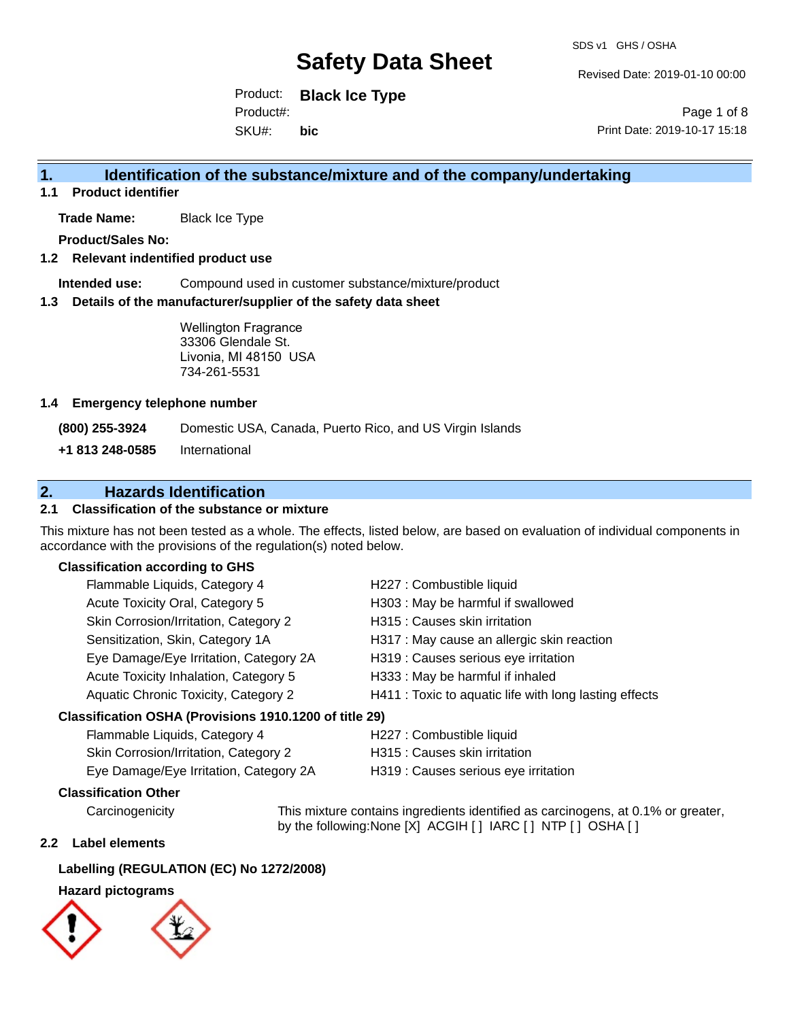Revised Date: 2019-01-10 00:00

Product: **Black Ice Type** SKU#: Product#: **bic**

Page 1 of 8 Print Date: 2019-10-17 15:18

## **1. Identification of the substance/mixture and of the company/undertaking**

**1.1 Product identifier**

**Trade Name:** Black Ice Type

**Product/Sales No:**

## **1.2 Relevant indentified product use**

**Intended use:** Compound used in customer substance/mixture/product

### **1.3 Details of the manufacturer/supplier of the safety data sheet**

Wellington Fragrance 33306 Glendale St. Livonia, MI 48150 USA 734-261-5531

### **1.4 Emergency telephone number**

**(800) 255-3924** Domestic USA, Canada, Puerto Rico, and US Virgin Islands

**+1 813 248-0585** International

## **2. Hazards Identification**

## **2.1 Classification of the substance or mixture**

This mixture has not been tested as a whole. The effects, listed below, are based on evaluation of individual components in accordance with the provisions of the regulation(s) noted below.

### **Classification according to GHS**

| Flammable Liquids, Category 4                       | H227 : Combustible liquid                              |
|-----------------------------------------------------|--------------------------------------------------------|
| Acute Toxicity Oral, Category 5                     | H303 : May be harmful if swallowed                     |
| Skin Corrosion/Irritation, Category 2               | H315 : Causes skin irritation                          |
| Sensitization, Skin, Category 1A                    | H317 : May cause an allergic skin reaction             |
| Eye Damage/Eye Irritation, Category 2A              | H319 : Causes serious eye irritation                   |
| Acute Toxicity Inhalation, Category 5               | H333: May be harmful if inhaled                        |
| Aquatic Chronic Toxicity, Category 2                | H411 : Toxic to aquatic life with long lasting effects |
| ceification OSUA (Provisione 1010 1200 of title 20) |                                                        |

#### **Classification OSHA (Provisions 1910.1200 of title 29)**

| Flammable Liquids, Category 4          | H227 : Combustible liquid            |
|----------------------------------------|--------------------------------------|
| Skin Corrosion/Irritation, Category 2  | H315 : Causes skin irritation        |
| Eye Damage/Eye Irritation, Category 2A | H319 : Causes serious eye irritation |

## **Classification Other**

Carcinogenicity This mixture contains ingredients identified as carcinogens, at 0.1% or greater, by the following:None [X] ACGIH [ ] IARC [ ] NTP [ ] OSHA [ ]

#### **2.2 Label elements**

## **Labelling (REGULATION (EC) No 1272/2008)**

## **Hazard pictograms**

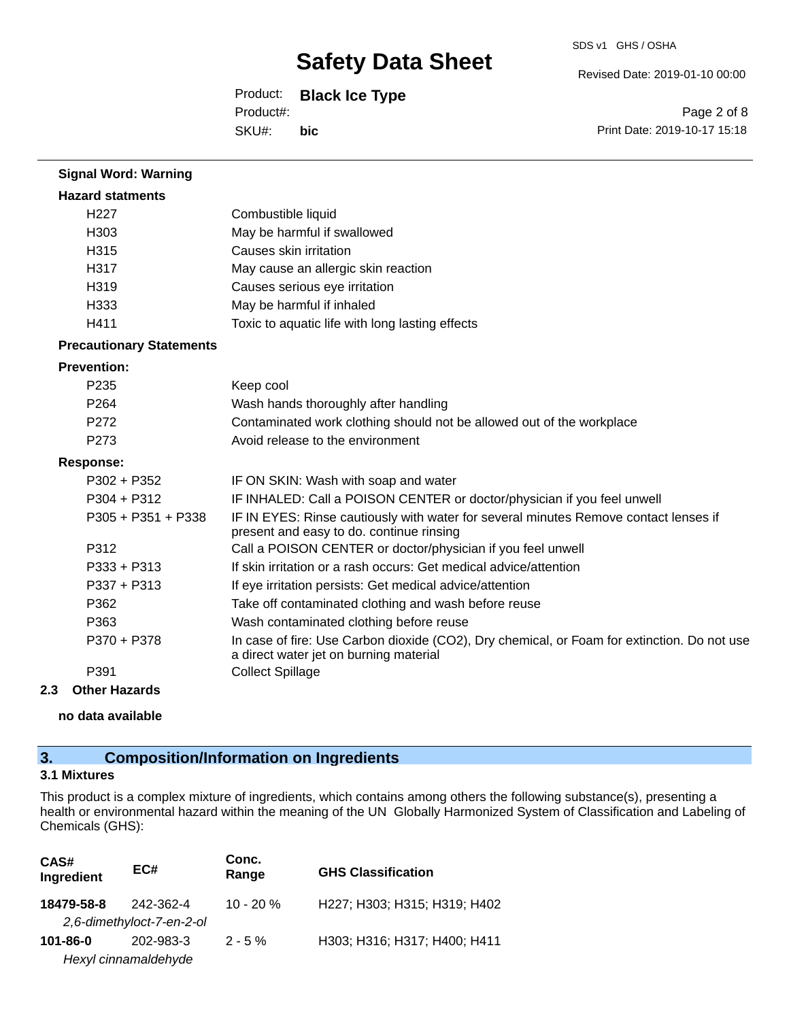Revised Date: 2019-01-10 00:00

Product: **Black Ice Type**

SKU#: Product#: **bic**

Page 2 of 8 Print Date: 2019-10-17 15:18

| <b>Signal Word: Warning</b>     |                                                                                                                                       |
|---------------------------------|---------------------------------------------------------------------------------------------------------------------------------------|
| <b>Hazard statments</b>         |                                                                                                                                       |
| H <sub>227</sub>                | Combustible liquid                                                                                                                    |
| H303                            | May be harmful if swallowed                                                                                                           |
| H315                            | Causes skin irritation                                                                                                                |
| H317                            | May cause an allergic skin reaction                                                                                                   |
| H319                            | Causes serious eye irritation                                                                                                         |
| H333                            | May be harmful if inhaled                                                                                                             |
| H411                            | Toxic to aquatic life with long lasting effects                                                                                       |
| <b>Precautionary Statements</b> |                                                                                                                                       |
| <b>Prevention:</b>              |                                                                                                                                       |
| P235                            | Keep cool                                                                                                                             |
| P264                            | Wash hands thoroughly after handling                                                                                                  |
| P272                            | Contaminated work clothing should not be allowed out of the workplace                                                                 |
| P273                            | Avoid release to the environment                                                                                                      |
| <b>Response:</b>                |                                                                                                                                       |
| $P302 + P352$                   | IF ON SKIN: Wash with soap and water                                                                                                  |
| $P304 + P312$                   | IF INHALED: Call a POISON CENTER or doctor/physician if you feel unwell                                                               |
| P305 + P351 + P338              | IF IN EYES: Rinse cautiously with water for several minutes Remove contact lenses if<br>present and easy to do. continue rinsing      |
| P312                            | Call a POISON CENTER or doctor/physician if you feel unwell                                                                           |
| $P333 + P313$                   | If skin irritation or a rash occurs: Get medical advice/attention                                                                     |
| P337 + P313                     | If eye irritation persists: Get medical advice/attention                                                                              |
| P362                            | Take off contaminated clothing and wash before reuse                                                                                  |
| P363                            | Wash contaminated clothing before reuse                                                                                               |
| P370 + P378                     | In case of fire: Use Carbon dioxide (CO2), Dry chemical, or Foam for extinction. Do not use<br>a direct water jet on burning material |
| P391                            | <b>Collect Spillage</b>                                                                                                               |

### **2.3 Other Hazards**

**no data available**

## **3. Composition/Information on Ingredients**

## **3.1 Mixtures**

This product is a complex mixture of ingredients, which contains among others the following substance(s), presenting a health or environmental hazard within the meaning of the UN Globally Harmonized System of Classification and Labeling of Chemicals (GHS):

| CAS#<br>Ingredient | EC#                       | Conc.<br>Range | <b>GHS Classification</b>    |
|--------------------|---------------------------|----------------|------------------------------|
| 18479-58-8         | 242-362-4                 | $10 - 20 \%$   | H227; H303; H315; H319; H402 |
|                    | 2,6-dimethyloct-7-en-2-ol |                |                              |
| 101-86-0           | 202-983-3                 | $2 - 5 \%$     | H303; H316; H317; H400; H411 |
|                    | Hexyl cinnamaldehyde      |                |                              |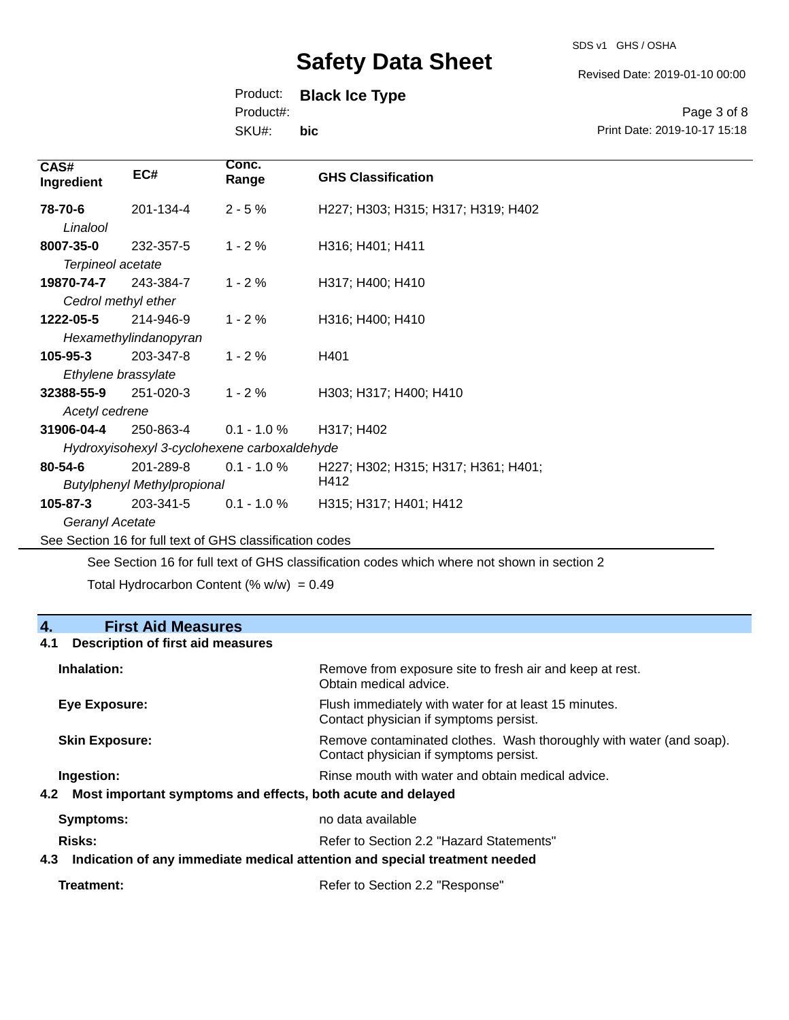Revised Date: 2019-01-10 00:00

## Product: **Black Ice Type**

Product#:

SKU#: **bic**

Page 3 of 8 Print Date: 2019-10-17 15:18

| CAS#<br>Ingredient  | EC#                                | Conc.<br>Range                                           | <b>GHS Classification</b>           |
|---------------------|------------------------------------|----------------------------------------------------------|-------------------------------------|
| 78-70-6             | 201-134-4                          | $2 - 5%$                                                 | H227; H303; H315; H317; H319; H402  |
| Linalool            |                                    |                                                          |                                     |
| 8007-35-0           | 232-357-5                          | $1 - 2%$                                                 | H316; H401; H411                    |
| Terpineol acetate   |                                    |                                                          |                                     |
| 19870-74-7          | 243-384-7                          | $1 - 2%$                                                 | H317; H400; H410                    |
| Cedrol methyl ether |                                    |                                                          |                                     |
| 1222-05-5           | 214-946-9                          | $1 - 2%$                                                 | H316; H400; H410                    |
|                     | Hexamethylindanopyran              |                                                          |                                     |
| 105-95-3            | 203-347-8                          | $1 - 2%$                                                 | H401                                |
| Ethylene brassylate |                                    |                                                          |                                     |
| 32388-55-9          | 251-020-3                          | $1 - 2%$                                                 | H303; H317; H400; H410              |
| Acetyl cedrene      |                                    |                                                          |                                     |
| 31906-04-4          | 250-863-4                          | $0.1 - 1.0 %$                                            | H317; H402                          |
|                     |                                    | Hydroxyisohexyl 3-cyclohexene carboxaldehyde             |                                     |
| $80 - 54 - 6$       | 201-289-8                          | $0.1 - 1.0 \%$                                           | H227; H302; H315; H317; H361; H401; |
|                     | <b>Butylphenyl Methylpropional</b> |                                                          | H412                                |
| 105-87-3            | 203-341-5                          | $0.1 - 1.0 %$                                            | H315; H317; H401; H412              |
| Geranyl Acetate     |                                    |                                                          |                                     |
|                     |                                    | See Section 16 for full text of GHS classification codes |                                     |

See Section 16 for full text of GHS classification codes which where not shown in section 2

Total Hydrocarbon Content (%  $w/w$ ) = 0.49

## **4. First Aid Measures**

## **4.1 Description of first aid measures**

| Inhalation:                                                     | Remove from exposure site to fresh air and keep at rest.<br>Obtain medical advice.                            |
|-----------------------------------------------------------------|---------------------------------------------------------------------------------------------------------------|
| Eye Exposure:                                                   | Flush immediately with water for at least 15 minutes.<br>Contact physician if symptoms persist.               |
| <b>Skin Exposure:</b>                                           | Remove contaminated clothes. Wash thoroughly with water (and soap).<br>Contact physician if symptoms persist. |
| Ingestion:                                                      | Rinse mouth with water and obtain medical advice.                                                             |
| 4.2 Most important symptoms and effects, both acute and delayed |                                                                                                               |
| <b>Symptoms:</b>                                                | no data available                                                                                             |
| Risks:                                                          | Refer to Section 2.2 "Hazard Statements"                                                                      |
| 4.3                                                             | Indication of any immediate medical attention and special treatment needed                                    |
|                                                                 |                                                                                                               |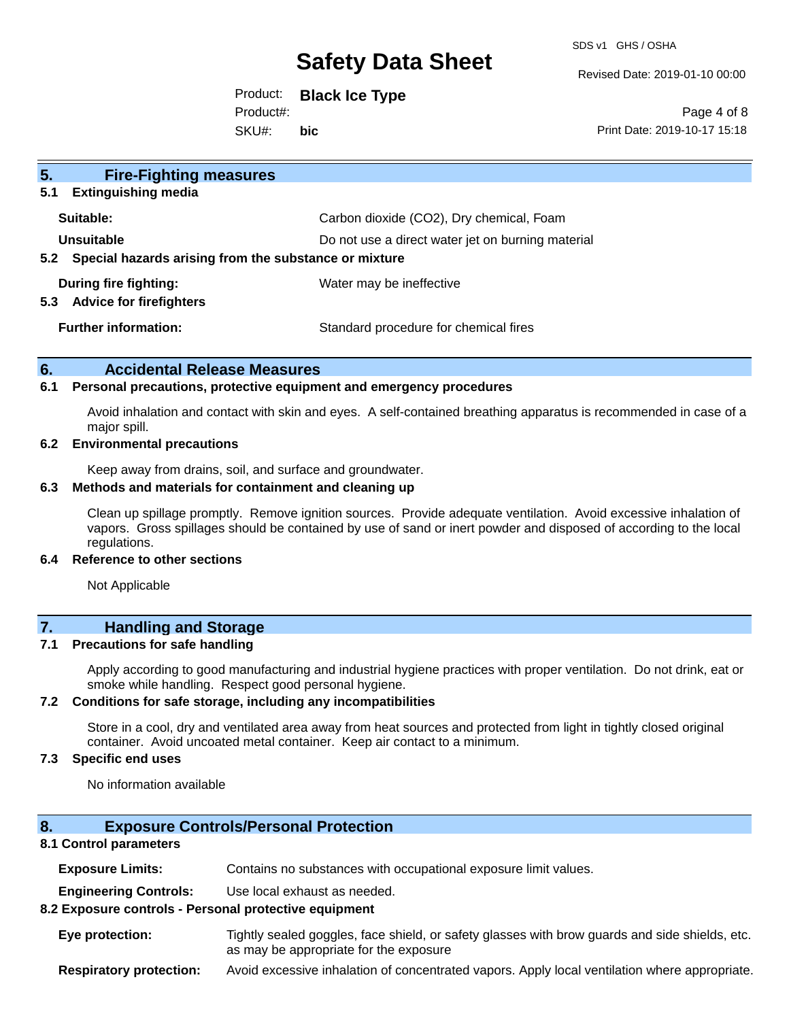SDS v1 GHS / OSHA

Revised Date: 2019-01-10 00:00

Product: **Black Ice Type** SKU#: Product#: **bic**

Page 4 of 8 Print Date: 2019-10-17 15:18

| 5 <sub>1</sub><br><b>Fire-Fighting measures</b>           |                                                   |  |
|-----------------------------------------------------------|---------------------------------------------------|--|
| <b>Extinguishing media</b><br>5.1                         |                                                   |  |
| Suitable:                                                 | Carbon dioxide (CO2), Dry chemical, Foam          |  |
| Unsuitable                                                | Do not use a direct water jet on burning material |  |
| 5.2 Special hazards arising from the substance or mixture |                                                   |  |
| During fire fighting:                                     | Water may be ineffective                          |  |
| <b>Advice for firefighters</b><br>5.3                     |                                                   |  |
| <b>Further information:</b>                               | Standard procedure for chemical fires             |  |
|                                                           |                                                   |  |

## **6. Accidental Release Measures**

#### **6.1 Personal precautions, protective equipment and emergency procedures**

Avoid inhalation and contact with skin and eyes. A self-contained breathing apparatus is recommended in case of a major spill.

## **6.2 Environmental precautions**

Keep away from drains, soil, and surface and groundwater.

#### **6.3 Methods and materials for containment and cleaning up**

Clean up spillage promptly. Remove ignition sources. Provide adequate ventilation. Avoid excessive inhalation of vapors. Gross spillages should be contained by use of sand or inert powder and disposed of according to the local regulations.

#### **6.4 Reference to other sections**

Not Applicable

## **7. Handling and Storage**

### **7.1 Precautions for safe handling**

Apply according to good manufacturing and industrial hygiene practices with proper ventilation. Do not drink, eat or smoke while handling. Respect good personal hygiene.

### **7.2 Conditions for safe storage, including any incompatibilities**

Store in a cool, dry and ventilated area away from heat sources and protected from light in tightly closed original container. Avoid uncoated metal container. Keep air contact to a minimum.

## **7.3 Specific end uses**

No information available

## **8. Exposure Controls/Personal Protection**

### **8.1 Control parameters**

**Exposure Limits:** Contains no substances with occupational exposure limit values.

**Engineering Controls:** Use local exhaust as needed.

#### **8.2 Exposure controls - Personal protective equipment**

**Eye protection:** Tightly sealed goggles, face shield, or safety glasses with brow guards and side shields, etc. as may be appropriate for the exposure

**Respiratory protection:** Avoid excessive inhalation of concentrated vapors. Apply local ventilation where appropriate.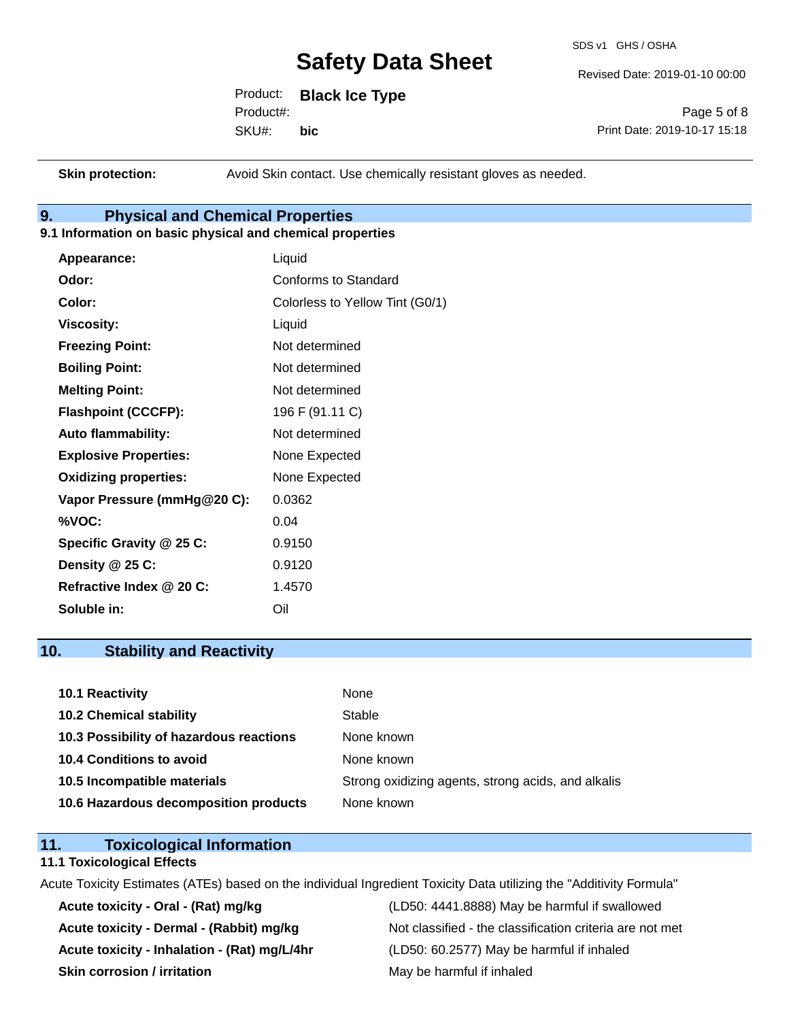SDS v1 GHS / OSHA

Revised Date: 2019-01-10 00:00

Product: **Black Ice Type** SKU#: Product#: **bic**

Page 5 of 8 Print Date: 2019-10-17 15:18

**Skin protection:** Avoid Skin contact. Use chemically resistant gloves as needed.

## **9. Physical and Chemical Properties**

## **9.1 Information on basic physical and chemical properties**

| Appearance:                  | Liquid                          |
|------------------------------|---------------------------------|
| Odor:                        | <b>Conforms to Standard</b>     |
| Color:                       | Colorless to Yellow Tint (G0/1) |
| <b>Viscosity:</b>            | Liquid                          |
| <b>Freezing Point:</b>       | Not determined                  |
| <b>Boiling Point:</b>        | Not determined                  |
| <b>Melting Point:</b>        | Not determined                  |
| <b>Flashpoint (CCCFP):</b>   | 196 F (91.11 C)                 |
| <b>Auto flammability:</b>    | Not determined                  |
| <b>Explosive Properties:</b> | None Expected                   |
| <b>Oxidizing properties:</b> | None Expected                   |
| Vapor Pressure (mmHg@20 C):  | 0.0362                          |
| %VOC:                        | 0.04                            |
| Specific Gravity @ 25 C:     | 0.9150                          |
| Density @ 25 C:              | 0.9120                          |
| Refractive Index @ 20 C:     | 1.4570                          |
| Soluble in:                  | Oil                             |

## **10. Stability and Reactivity**

| <b>10.1 Reactivity</b>                  | None                                               |
|-----------------------------------------|----------------------------------------------------|
| <b>10.2 Chemical stability</b>          | Stable                                             |
| 10.3 Possibility of hazardous reactions | None known                                         |
| <b>10.4 Conditions to avoid</b>         | None known                                         |
| 10.5 Incompatible materials             | Strong oxidizing agents, strong acids, and alkalis |
| 10.6 Hazardous decomposition products   | None known                                         |

## **11. Toxicological Information**

#### **11.1 Toxicological Effects**

Acute Toxicity Estimates (ATEs) based on the individual Ingredient Toxicity Data utilizing the "Additivity Formula"

**Acute toxicity - Inhalation - (Rat) mg/L/4hr** (LD50: 60.2577) May be harmful if inhaled **Skin corrosion / irritation** May be harmful if inhaled

**Acute toxicity - Oral - (Rat) mg/kg** (LD50: 4441.8888) May be harmful if swallowed Acute toxicity - Dermal - (Rabbit) mg/kg<br>Not classified - the classification criteria are not met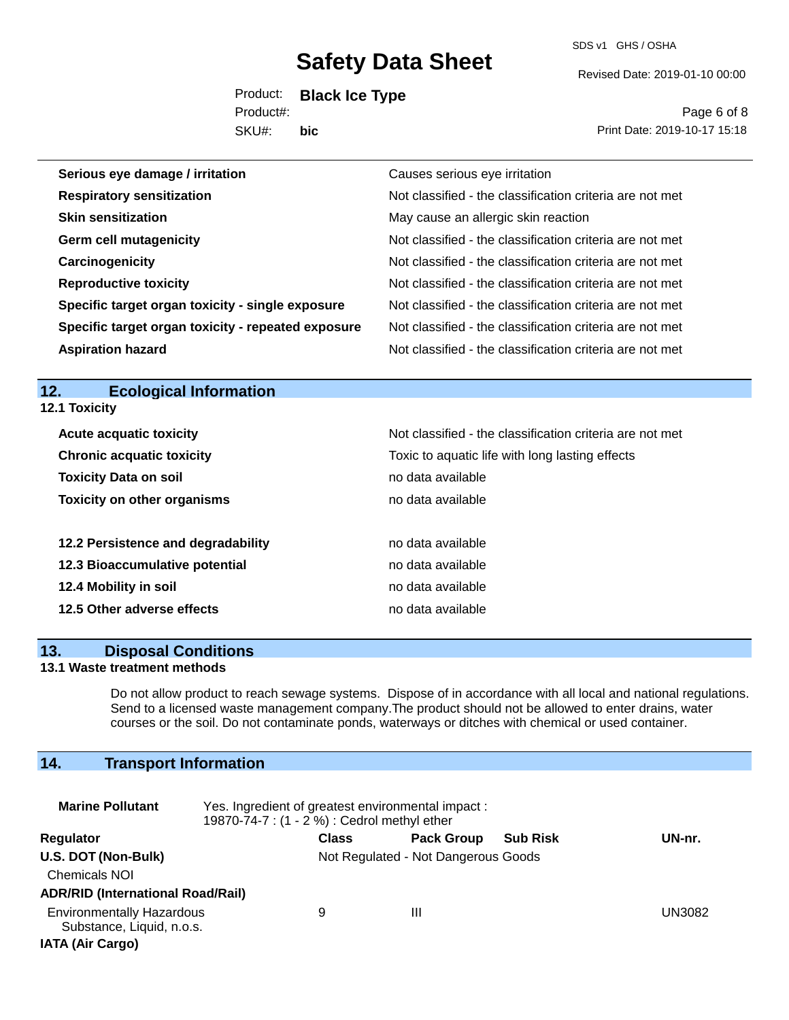SDS v1 GHS / OSHA

Revised Date: 2019-01-10 00:00

Product: **Black Ice Type** SKU#: Product#: **bic**

Page 6 of 8 Print Date: 2019-10-17 15:18

| Serious eye damage / irritation                    | Causes serious eye irritation                            |
|----------------------------------------------------|----------------------------------------------------------|
| <b>Respiratory sensitization</b>                   | Not classified - the classification criteria are not met |
| <b>Skin sensitization</b>                          | May cause an allergic skin reaction                      |
| <b>Germ cell mutagenicity</b>                      | Not classified - the classification criteria are not met |
| Carcinogenicity                                    | Not classified - the classification criteria are not met |
| <b>Reproductive toxicity</b>                       | Not classified - the classification criteria are not met |
| Specific target organ toxicity - single exposure   | Not classified - the classification criteria are not met |
| Specific target organ toxicity - repeated exposure | Not classified - the classification criteria are not met |
| <b>Aspiration hazard</b>                           | Not classified - the classification criteria are not met |

#### **12. Ecological Information 12.1 Toxicity**

| <b>IZ.I IOXIGILY</b> |  |
|----------------------|--|
|                      |  |

| <b>Acute acquatic toxicity</b>     | Not classified - the classification criteria are not met |
|------------------------------------|----------------------------------------------------------|
| <b>Chronic acquatic toxicity</b>   | Toxic to aquatic life with long lasting effects          |
| <b>Toxicity Data on soil</b>       | no data available                                        |
| <b>Toxicity on other organisms</b> | no data available                                        |
|                                    |                                                          |
| 12.2 Persistence and degradability | no data available                                        |
| 12.3 Bioaccumulative potential     | no data available                                        |
| 12.4 Mobility in soil              | no data available                                        |
| 12.5 Other adverse effects         | no data available                                        |
|                                    |                                                          |

## **13. Disposal Conditions**

### **13.1 Waste treatment methods**

Do not allow product to reach sewage systems. Dispose of in accordance with all local and national regulations. Send to a licensed waste management company.The product should not be allowed to enter drains, water courses or the soil. Do not contaminate ponds, waterways or ditches with chemical or used container.

## **14. Transport Information**

| <b>Marine Pollutant</b>                                                                  | Yes. Ingredient of greatest environmental impact:<br>19870-74-7 : (1 - 2 %) : Cedrol methyl ether |                                     |                   |                 |               |
|------------------------------------------------------------------------------------------|---------------------------------------------------------------------------------------------------|-------------------------------------|-------------------|-----------------|---------------|
| Regulator                                                                                |                                                                                                   | <b>Class</b>                        | <b>Pack Group</b> | <b>Sub Risk</b> | UN-nr.        |
| U.S. DOT (Non-Bulk)<br><b>Chemicals NOI</b><br><b>ADR/RID (International Road/Rail)</b>  |                                                                                                   | Not Regulated - Not Dangerous Goods |                   |                 |               |
| <b>Environmentally Hazardous</b><br>Substance, Liquid, n.o.s.<br><b>IATA (Air Cargo)</b> |                                                                                                   | 9                                   | Ш                 |                 | <b>UN3082</b> |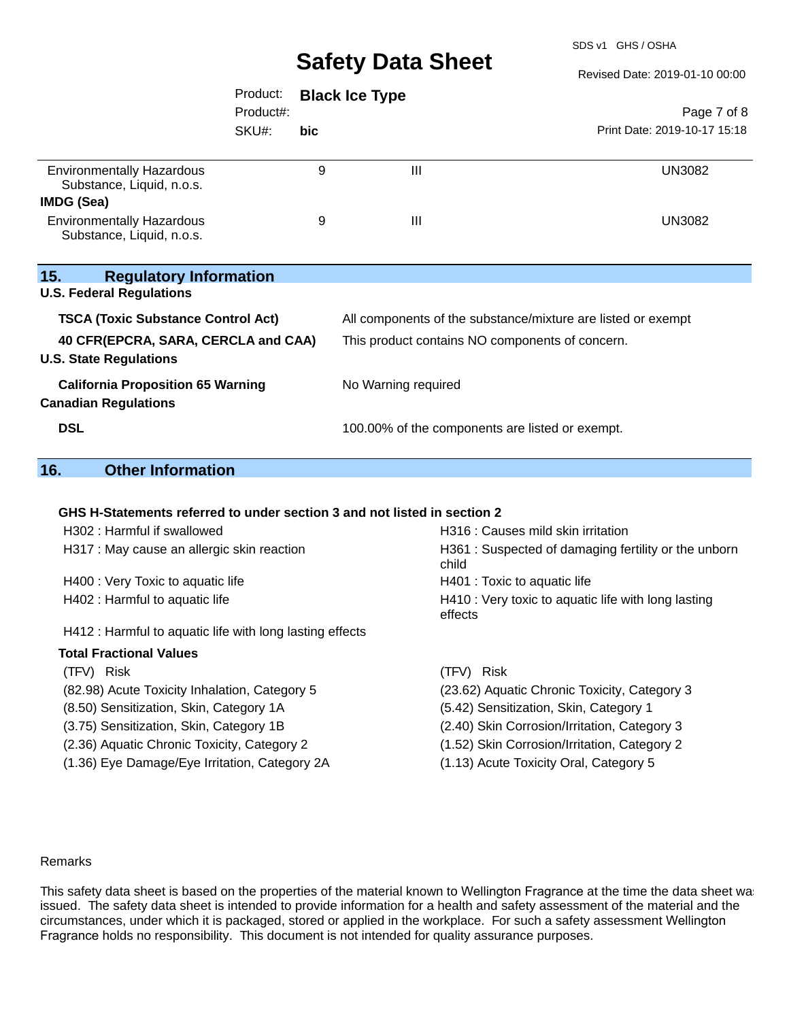SDS v1 GHS / OSHA

Revised Date: 2019-01-10 00:00

|                                                                         | Product:  |      | <b>Black Ice Type</b>                           |                                                              |
|-------------------------------------------------------------------------|-----------|------|-------------------------------------------------|--------------------------------------------------------------|
|                                                                         | Product#: |      |                                                 | Page 7 of 8                                                  |
|                                                                         | SKU#:     | bic. |                                                 | Print Date: 2019-10-17 15:18                                 |
| <b>Environmentally Hazardous</b><br>Substance, Liquid, n.o.s.           |           | 9    | III                                             | UN3082                                                       |
| <b>IMDG (Sea)</b>                                                       |           |      |                                                 |                                                              |
| <b>Environmentally Hazardous</b><br>Substance, Liquid, n.o.s.           |           | 9    | $\mathbf{III}$                                  | <b>UN3082</b>                                                |
| 15.<br><b>Regulatory Information</b>                                    |           |      |                                                 |                                                              |
| <b>U.S. Federal Regulations</b>                                         |           |      |                                                 |                                                              |
| <b>TSCA (Toxic Substance Control Act)</b>                               |           |      |                                                 | All components of the substance/mixture are listed or exempt |
| 40 CFR(EPCRA, SARA, CERCLA and CAA)<br><b>U.S. State Regulations</b>    |           |      | This product contains NO components of concern. |                                                              |
| <b>California Proposition 65 Warning</b><br><b>Canadian Regulations</b> |           |      | No Warning required                             |                                                              |
| <b>DSL</b>                                                              |           |      | 100.00% of the components are listed or exempt. |                                                              |

## **16. Other Information**

#### **GHS H-Statements referred to under section 3 and not listed in section 2**

| H302 : Harmful if swallowed                             | H316 : Causes mild skin irritation                             |
|---------------------------------------------------------|----------------------------------------------------------------|
| H317 : May cause an allergic skin reaction              | H361: Suspected of damaging fertility or the unborn<br>child   |
| H400 : Very Toxic to aquatic life                       | H401 : Toxic to aquatic life                                   |
| H402 : Harmful to aquatic life                          | H410 : Very toxic to aquatic life with long lasting<br>effects |
| H412: Harmful to aquatic life with long lasting effects |                                                                |
| <b>Total Fractional Values</b>                          |                                                                |
| (TFV) Risk                                              | (TFV) Risk                                                     |
| (82.98) Acute Toxicity Inhalation, Category 5           | (23.62) Aquatic Chronic Toxicity, Category 3                   |
| (8.50) Sensitization, Skin, Category 1A                 | (5.42) Sensitization, Skin, Category 1                         |
| (3.75) Sensitization, Skin, Category 1B                 | (2.40) Skin Corrosion/Irritation, Category 3                   |
| (2.36) Aquatic Chronic Toxicity, Category 2             | (1.52) Skin Corrosion/Irritation, Category 2                   |
| (1.36) Eye Damage/Eye Irritation, Category 2A           | (1.13) Acute Toxicity Oral, Category 5                         |
|                                                         |                                                                |

#### Remarks

This safety data sheet is based on the properties of the material known to Wellington Fragrance at the time the data sheet was issued. The safety data sheet is intended to provide information for a health and safety assessment of the material and the circumstances, under which it is packaged, stored or applied in the workplace. For such a safety assessment Wellington Fragrance holds no responsibility. This document is not intended for quality assurance purposes.